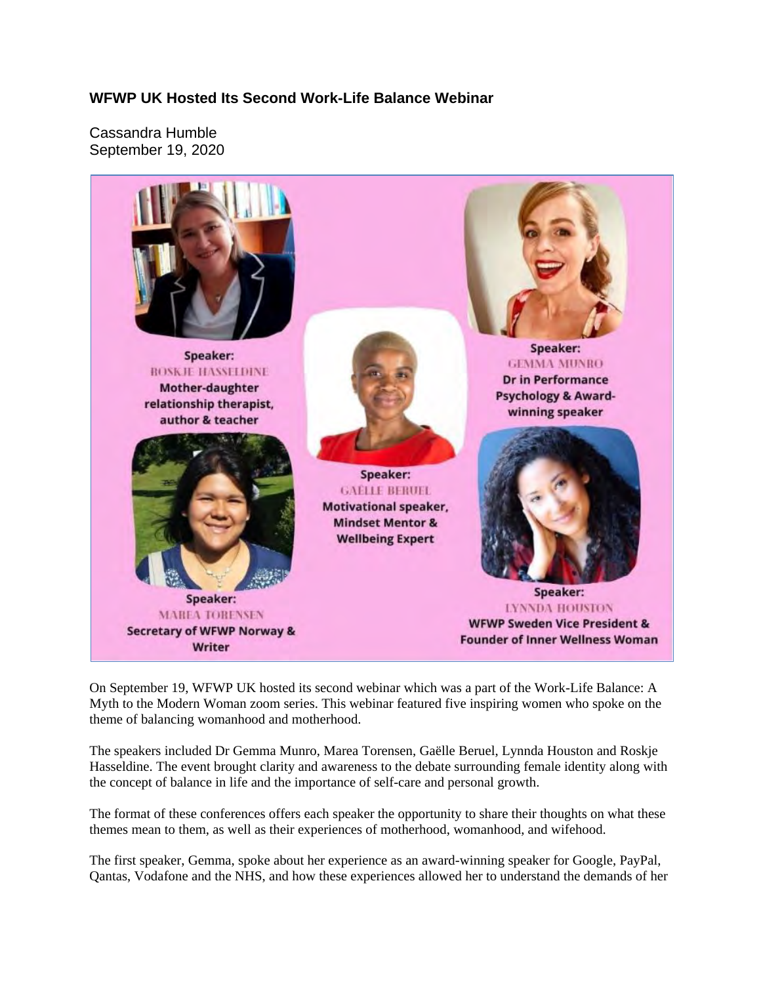## **WFWP UK Hosted Its Second Work-Life Balance Webinar**

Cassandra Humble September 19, 2020



On September 19, WFWP UK hosted its second webinar which was a part of the Work-Life Balance: A Myth to the Modern Woman zoom series. This webinar featured five inspiring women who spoke on the theme of balancing womanhood and motherhood.

The speakers included Dr Gemma Munro, Marea Torensen, Gaëlle Beruel, Lynnda Houston and Roskje Hasseldine. The event brought clarity and awareness to the debate surrounding female identity along with the concept of balance in life and the importance of self-care and personal growth.

The format of these conferences offers each speaker the opportunity to share their thoughts on what these themes mean to them, as well as their experiences of motherhood, womanhood, and wifehood.

The first speaker, Gemma, spoke about her experience as an award-winning speaker for Google, PayPal, Qantas, Vodafone and the NHS, and how these experiences allowed her to understand the demands of her